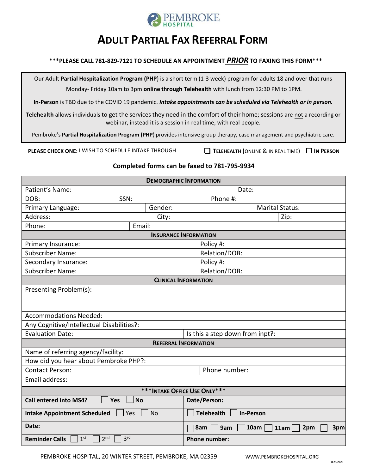

# **ADULT PARTIAL FAX REFERRAL FORM**

# **\*\*\*PLEASE CALL 781-829-7121 TO SCHEDULE AN APPOINTMENT** *PRIOR* **TO FAXING THIS FORM\*\*\***

Our Adult **Partial Hospitalization Program (PHP**) is a short term (1-3 week) program for adults 18 and over that runs Monday- Friday 10am to 3pm **online through Telehealth** with lunch from 12:30 PM to 1PM.

**In-Person** is TBD due to the COVID 19 pandemic. *Intake appointments can be scheduled via Telehealth or in person.*

**Telehealth** allows individuals to get the services they need in the comfort of their home; sessions are not a recording or webinar, instead it is a session in real time, with real people.

Pembroke's **Partial Hospitalization Program (PHP**) provides intensive group therapy, case management and psychiatric care.

**PLEASE CHECK ONE:** I WISH TO SCHEDULE INTAKE THROUGH **TELEHEALTH (**ONLINE & IN REAL TIME) **IN PERSON** 

# **Completed forms can be faxed to 781-795-9934**

| <b>DEMOGRAPHIC INFORMATION</b>                              |                 |                                                 |                                 |  |  |  |  |  |
|-------------------------------------------------------------|-----------------|-------------------------------------------------|---------------------------------|--|--|--|--|--|
| Patient's Name:                                             |                 |                                                 | Date:                           |  |  |  |  |  |
| SSN:<br>DOB:                                                |                 | Phone #:                                        |                                 |  |  |  |  |  |
| Primary Language:                                           | Gender:         |                                                 | <b>Marital Status:</b>          |  |  |  |  |  |
| Address:                                                    | City:           |                                                 | Zip:                            |  |  |  |  |  |
| Phone:                                                      | Email:          |                                                 |                                 |  |  |  |  |  |
| <b>INSURANCE INFORMATION</b>                                |                 |                                                 |                                 |  |  |  |  |  |
| Primary Insurance:                                          |                 | Policy #:                                       |                                 |  |  |  |  |  |
| <b>Subscriber Name:</b>                                     |                 | Relation/DOB:                                   |                                 |  |  |  |  |  |
| Secondary Insurance:                                        |                 | Policy #:                                       |                                 |  |  |  |  |  |
| <b>Subscriber Name:</b>                                     |                 |                                                 | Relation/DOB:                   |  |  |  |  |  |
| <b>CLINICAL INFORMATION</b>                                 |                 |                                                 |                                 |  |  |  |  |  |
| Presenting Problem(s):                                      |                 |                                                 |                                 |  |  |  |  |  |
| <b>Accommodations Needed:</b>                               |                 |                                                 |                                 |  |  |  |  |  |
| Any Cognitive/Intellectual Disabilities?:                   |                 |                                                 |                                 |  |  |  |  |  |
| <b>Evaluation Date:</b>                                     |                 |                                                 | Is this a step down from inpt?: |  |  |  |  |  |
| <b>REFERRAL INFORMATION</b>                                 |                 |                                                 |                                 |  |  |  |  |  |
| Name of referring agency/facility:                          |                 |                                                 |                                 |  |  |  |  |  |
| How did you hear about Pembroke PHP?:                       |                 |                                                 |                                 |  |  |  |  |  |
| <b>Contact Person:</b>                                      |                 |                                                 | Phone number:                   |  |  |  |  |  |
| Email address:                                              |                 |                                                 |                                 |  |  |  |  |  |
| *** INTAKE OFFICE USE ONLY***                               |                 |                                                 |                                 |  |  |  |  |  |
| <b>Call entered into MS4?</b><br>Yes                        | <b>No</b>       | Date/Person:                                    |                                 |  |  |  |  |  |
| <b>No</b><br><b>Intake Appointment Scheduled</b><br>Yes     |                 | <b>Telehealth</b><br><b>In-Person</b>           |                                 |  |  |  |  |  |
| Date:                                                       |                 | <b>10am</b><br>8am<br>9am<br>2pm<br>3pm<br>11am |                                 |  |  |  |  |  |
| 2 <sup>nd</sup><br>1 <sup>st</sup><br><b>Reminder Calls</b> | 3 <sup>rd</sup> | <b>Phone number:</b>                            |                                 |  |  |  |  |  |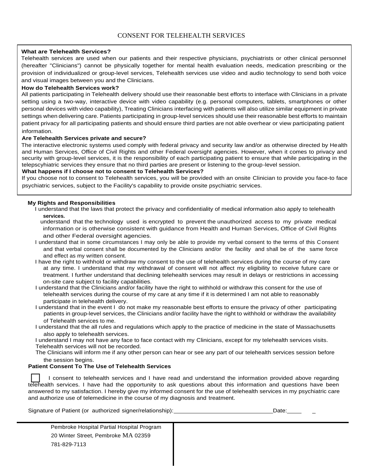#### **What are Telehealth Services?**

Telehealth services are used when our patients and their respective physicians, psychiatrists or other clinical personnel (hereafter "Clinicians") cannot be physically together for mental health evaluation needs, medication prescribing or the provision of individualized or group-level services, Telehealth services use video and audio technology to send both voice and visual images between you and the Clinicians.

#### **How do Telehealth Services work?**

All patients participating in Telehealth delivery should use their reasonable best efforts to interface with Clinicians in a private setting using a two-way, interactive device with video capability (e.g. personal computers, tablets, smartphones or other personal devices with video capability), Treating Clinicians interfacing with patients will also utilize similar equipment in private settings when delivering care. Patients participating in group-level services should use their reasonable best efforts to maintain patient privacy for all participating patients and should ensure third parties are not able overhear or view participating patient information.

#### **Are Telehealth Services private and secure?**

The interactive electronic systems used comply with federal privacy and security law and/or as otherwise directed by Health and Human Services, Office of Civil Rights and other Federal oversight agencies. However, when it comes to privacy and security with group-level services, it is the responsibility of each participating patient to ensure that while participating in the telepscyhiatric services they ensure that no third parties are present or listening to the group-level session.

#### **What happens if I choose not to consent to Telehealth Services?**

If you choose not to consent to Telehealth services, you will be provided with an onsite Clinician to provide you face-to face psychiatric services, subject to the Facility's capability to provide onsite psychiatric services.

#### **My Rights and Responsibilities**

I understand that the laws that protect the privacy and confidentiality of medical information also apply to telehealth **services.**

understand that the technology used is encrypted to prevent the unauthorized access to my private medical information or is otherwise consistent with guidance from Health and Human Services, Office of Civil Rights and other Federal oversight agencies.

- I understand that in some circumstances I may only be able to provide my verbal consent to the terms of this Consent and that verbal consent shall be documented by the Clinicians and/or the facility and shall be of the same force and effect as my written consent.
- I have the right to withhold or withdraw my consent to the use of telehealth services during the course of my care at any time. I understand that my withdrawal of consent will not affect my eligibility to receive future care or treatment. I further understand that declining telehealth services may result in delays or restrictions in accessing on-site care subject to facility capabilities.
- I understand that the Clinicians and/or facility have the right to withhold or withdraw this consent for the use of telehealth services during the course of my care at any time if it is determined I am not able to reasonably participate in telehealth delivery.

I understand that in the event I do not make my reasonable best efforts to ensure the privacy of other participating patients in group-level services, the Clinicians and/or facility have the right to withhold or withdraw the availability of Telehealth services to me.

I understand that the all rules and regulations which apply to the practice of medicine in the state of Massachusetts also apply to telehealth services.

I understand I may not have any face to face contact with my Clinicians, except for my telehealth services visits. Telehealth services will not be recorded.

The Clinicians will inform me if any other person can hear or see any part of our telehealth services session before the session begins.

#### **Patient Consent To The Use of Telehealth Services**

I consent to the ose of referrealth services<br>I consent to telehealth services and I have read and understand the information provided above regarding<br>telehealth services. I have had the opportunity to ask questions about t I consent to telehealth services and I have read and understand the information provided above regarding answered to my satisfaction. I hereby give my informed consent for the use of telehealth services in my psychiatric care and authorize use of telemedicine in the course of my diagnosis and treatment.

Signature of Patient (or authorized signer/relationship): Date: Date:

| Pembroke Hospital Partial Hospital Program |
|--------------------------------------------|
| 20 Winter Street. Pembroke MA 02359        |
| 781-829-7113                               |